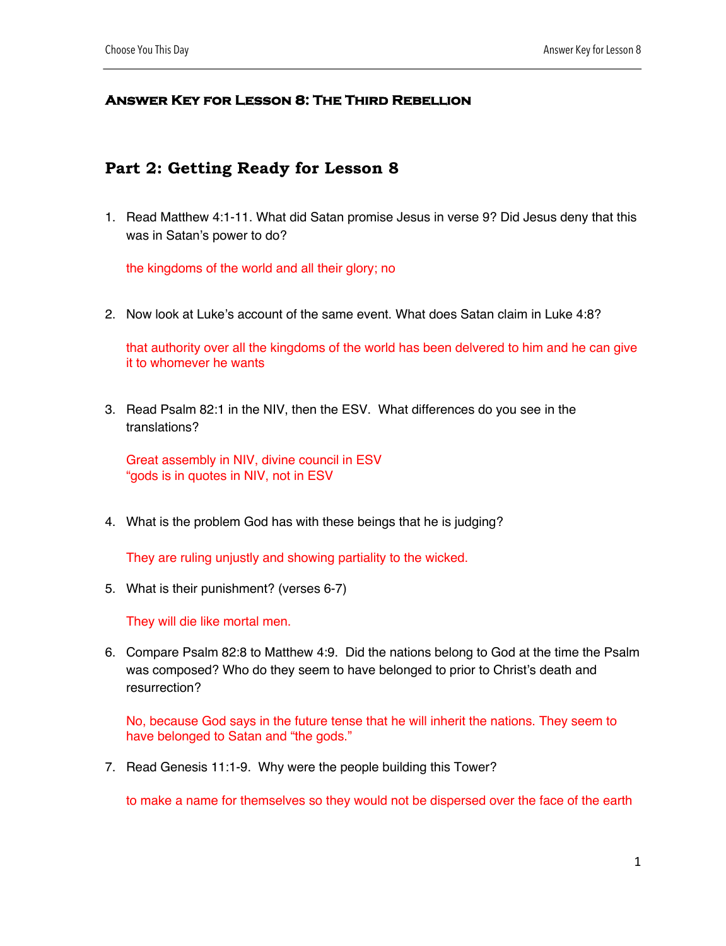## **Answer Key for Lesson 8: The Third Rebellion**

## **Part 2: Getting Ready for Lesson 8**

1. Read Matthew 4:1-11. What did Satan promise Jesus in verse 9? Did Jesus deny that this was in Satan's power to do?

the kingdoms of the world and all their glory; no

2. Now look at Luke's account of the same event. What does Satan claim in Luke 4:8?

that authority over all the kingdoms of the world has been delvered to him and he can give it to whomever he wants

3. Read Psalm 82:1 in the NIV, then the ESV. What differences do you see in the translations?

Great assembly in NIV, divine council in ESV "gods is in quotes in NIV, not in ESV

4. What is the problem God has with these beings that he is judging?

They are ruling unjustly and showing partiality to the wicked.

5. What is their punishment? (verses 6-7)

They will die like mortal men.

6. Compare Psalm 82:8 to Matthew 4:9. Did the nations belong to God at the time the Psalm was composed? Who do they seem to have belonged to prior to Christ's death and resurrection?

No, because God says in the future tense that he will inherit the nations. They seem to have belonged to Satan and "the gods."

7. Read Genesis 11:1-9. Why were the people building this Tower?

to make a name for themselves so they would not be dispersed over the face of the earth